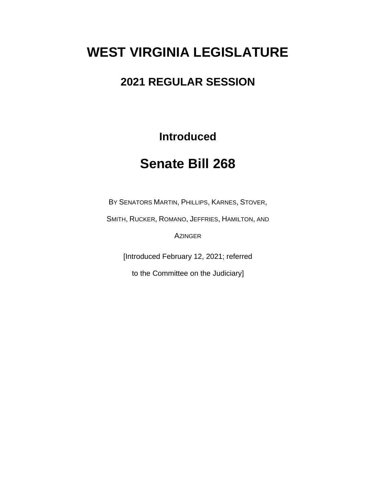# **WEST VIRGINIA LEGISLATURE**

### **2021 REGULAR SESSION**

**Introduced**

## **Senate Bill 268**

BY SENATORS MARTIN, PHILLIPS, KARNES, STOVER,

SMITH, RUCKER, ROMANO, JEFFRIES, HAMILTON, AND

AZINGER

[Introduced February 12, 2021; referred

to the Committee on the Judiciary]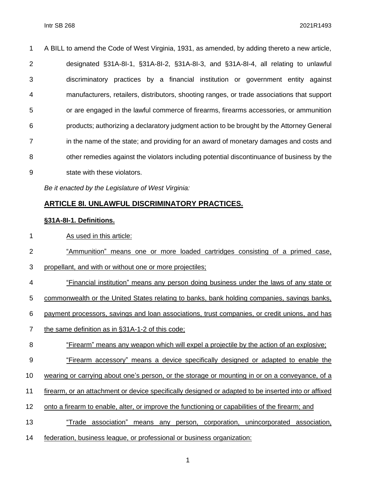| $\mathbf 1$    | A BILL to amend the Code of West Virginia, 1931, as amended, by adding thereto a new article, |
|----------------|-----------------------------------------------------------------------------------------------|
| $\overline{2}$ | designated §31A-8I-1, §31A-8I-2, §31A-8I-3, and §31A-8I-4, all relating to unlawful           |
| 3              | discriminatory practices by a financial institution or government entity against              |
| $\overline{4}$ | manufacturers, retailers, distributors, shooting ranges, or trade associations that support   |
| 5              | or are engaged in the lawful commerce of firearms, firearms accessories, or ammunition        |
| 6              | products; authorizing a declaratory judgment action to be brought by the Attorney General     |
| $\overline{7}$ | in the name of the state; and providing for an award of monetary damages and costs and        |
| 8              | other remedies against the violators including potential discontinuance of business by the    |
| 9              | state with these violators.                                                                   |

*Be it enacted by the Legislature of West Virginia:*

#### **ARTICLE 8I. UNLAWFUL DISCRIMINATORY PRACTICES.**

#### **§31A-8I-1. Definitions.**

- 1 As used in this article:
- "Ammunition" means one or more loaded cartridges consisting of a primed case,
- propellant, and with or without one or more projectiles;
- "Financial institution" means any person doing business under the laws of any state or
- commonwealth or the United States relating to banks, bank holding companies, savings banks,
- payment processors, savings and loan associations, trust companies, or credit unions, and has
- the same definition as in §31A-1-2 of this code;
- "Firearm" means any weapon which will expel a projectile by the action of an explosive;
- "Firearm accessory" means a device specifically designed or adapted to enable the
- wearing or carrying about one's person, or the storage or mounting in or on a conveyance, of a
- firearm, or an attachment or device specifically designed or adapted to be inserted into or affixed
- onto a firearm to enable, alter, or improve the functioning or capabilities of the firearm; and
- "Trade association" means any person, corporation, unincorporated association,
- federation, business league, or professional or business organization: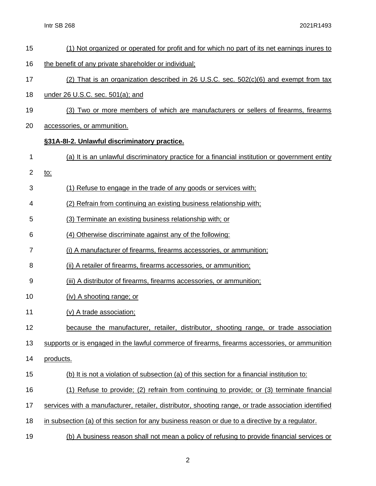- (1) Not organized or operated for profit and for which no part of its net earnings inures to
- the benefit of any private shareholder or individual;
- (2) That is an organization described in 26 U.S.C. sec. 502(c)(6) and exempt from tax
- under 26 U.S.C. sec. 501(a); and
- (3) Two or more members of which are manufacturers or sellers of firearms, firearms
- accessories, or ammunition.

#### **§31A-8I-2. Unlawful discriminatory practice.**

- (a) It is an unlawful discriminatory practice for a financial institution or government entity
- to:
- (1) Refuse to engage in the trade of any goods or services with;
- (2) Refrain from continuing an existing business relationship with;
- (3) Terminate an existing business relationship with; or
- (4) Otherwise discriminate against any of the following:
- (i) A manufacturer of firearms, firearms accessories, or ammunition;
- (ii) A retailer of firearms, firearms accessories, or ammunition;
- (iii) A distributor of firearms, firearms accessories, or ammunition;
- (iv) A shooting range; or
- (v) A trade association;
- because the manufacturer, retailer, distributor, shooting range, or trade association

supports or is engaged in the lawful commerce of firearms, firearms accessories, or ammunition

- products.
- (b) It is not a violation of subsection (a) of this section for a financial institution to:
- (1) Refuse to provide; (2) refrain from continuing to provide; or (3) terminate financial
- services with a manufacturer, retailer, distributor, shooting range, or trade association identified
- in subsection (a) of this section for any business reason or due to a directive by a regulator.
- (b) A business reason shall not mean a policy of refusing to provide financial services or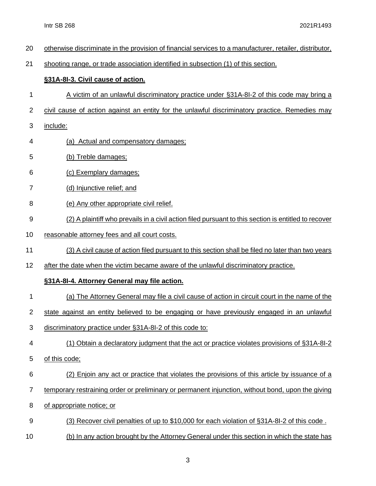otherwise discriminate in the provision of financial services to a manufacturer, retailer, distributor, shooting range, or trade association identified in subsection (1) of this section. **§31A-8I-3. Civil cause of action.** A victim of an unlawful discriminatory practice under §31A-8I-2 of this code may bring a civil cause of action against an entity for the unlawful discriminatory practice. Remedies may include: (a) Actual and compensatory damages; (b) Treble damages; (c) Exemplary damages; (d) Injunctive relief; and (e) Any other appropriate civil relief. (2) A plaintiff who prevails in a civil action filed pursuant to this section is entitled to recover reasonable attorney fees and all court costs. (3) A civil cause of action filed pursuant to this section shall be filed no later than two years 12 after the date when the victim became aware of the unlawful discriminatory practice. **§31A-8I-4. Attorney General may file action.** (a) The Attorney General may file a civil cause of action in circuit court in the name of the state against an entity believed to be engaging or have previously engaged in an unlawful discriminatory practice under §31A-8I-2 of this code to: (1) Obtain a declaratory judgment that the act or practice violates provisions of §31A-8I-2 of this code; (2) Enjoin any act or practice that violates the provisions of this article by issuance of a temporary restraining order or preliminary or permanent injunction, without bond, upon the giving of appropriate notice; or (3) Recover civil penalties of up to \$10,000 for each violation of §31A-8I-2 of this code . (b) In any action brought by the Attorney General under this section in which the state has